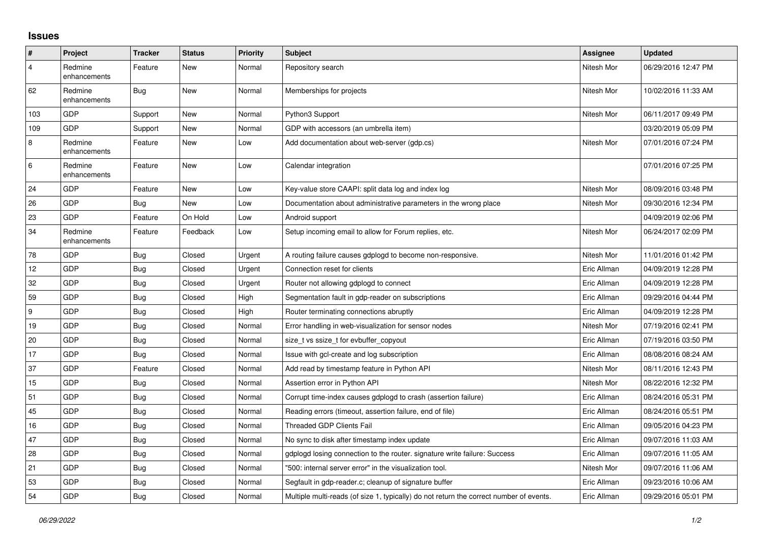## **Issues**

| $\vert$ #      | Project                 | <b>Tracker</b> | <b>Status</b> | Priority | <b>Subject</b>                                                                          | <b>Assignee</b> | <b>Updated</b>      |
|----------------|-------------------------|----------------|---------------|----------|-----------------------------------------------------------------------------------------|-----------------|---------------------|
| $\overline{4}$ | Redmine<br>enhancements | Feature        | New           | Normal   | Repository search                                                                       | Nitesh Mor      | 06/29/2016 12:47 PM |
| 62             | Redmine<br>enhancements | Bug            | New           | Normal   | Memberships for projects                                                                | Nitesh Mor      | 10/02/2016 11:33 AM |
| 103            | <b>GDP</b>              | Support        | New           | Normal   | Python3 Support                                                                         | Nitesh Mor      | 06/11/2017 09:49 PM |
| 109            | GDP                     | Support        | New           | Normal   | GDP with accessors (an umbrella item)                                                   |                 | 03/20/2019 05:09 PM |
| 8              | Redmine<br>enhancements | Feature        | New           | Low      | Add documentation about web-server (gdp.cs)                                             | Nitesh Mor      | 07/01/2016 07:24 PM |
| 6              | Redmine<br>enhancements | Feature        | New           | Low      | Calendar integration                                                                    |                 | 07/01/2016 07:25 PM |
| 24             | GDP                     | Feature        | New           | Low      | Key-value store CAAPI: split data log and index log                                     | Nitesh Mor      | 08/09/2016 03:48 PM |
| 26             | GDP                     | <b>Bug</b>     | New           | Low      | Documentation about administrative parameters in the wrong place                        | Nitesh Mor      | 09/30/2016 12:34 PM |
| 23             | GDP                     | Feature        | On Hold       | Low      | Android support                                                                         |                 | 04/09/2019 02:06 PM |
| 34             | Redmine<br>enhancements | Feature        | Feedback      | Low      | Setup incoming email to allow for Forum replies, etc.                                   | Nitesh Mor      | 06/24/2017 02:09 PM |
| 78             | GDP                     | <b>Bug</b>     | Closed        | Urgent   | A routing failure causes gdplogd to become non-responsive.                              | Nitesh Mor      | 11/01/2016 01:42 PM |
| 12             | GDP                     | <b>Bug</b>     | Closed        | Urgent   | Connection reset for clients                                                            | Eric Allman     | 04/09/2019 12:28 PM |
| 32             | <b>GDP</b>              | Bug            | Closed        | Urgent   | Router not allowing gdplogd to connect                                                  | Eric Allman     | 04/09/2019 12:28 PM |
| 59             | GDP                     | <b>Bug</b>     | Closed        | High     | Segmentation fault in gdp-reader on subscriptions                                       | Eric Allman     | 09/29/2016 04:44 PM |
| 9              | GDP                     | <b>Bug</b>     | Closed        | High     | Router terminating connections abruptly                                                 | Eric Allman     | 04/09/2019 12:28 PM |
| 19             | GDP                     | Bug            | Closed        | Normal   | Error handling in web-visualization for sensor nodes                                    | Nitesh Mor      | 07/19/2016 02:41 PM |
| 20             | GDP                     | <b>Bug</b>     | Closed        | Normal   | size t vs ssize t for evbuffer copyout                                                  | Eric Allman     | 07/19/2016 03:50 PM |
| 17             | GDP                     | <b>Bug</b>     | Closed        | Normal   | Issue with gcl-create and log subscription                                              | Eric Allman     | 08/08/2016 08:24 AM |
| 37             | GDP                     | Feature        | Closed        | Normal   | Add read by timestamp feature in Python API                                             | Nitesh Mor      | 08/11/2016 12:43 PM |
| 15             | GDP                     | <b>Bug</b>     | Closed        | Normal   | Assertion error in Python API                                                           | Nitesh Mor      | 08/22/2016 12:32 PM |
| 51             | GDP                     | <b>Bug</b>     | Closed        | Normal   | Corrupt time-index causes gdplogd to crash (assertion failure)                          | Eric Allman     | 08/24/2016 05:31 PM |
| 45             | GDP                     | Bug            | Closed        | Normal   | Reading errors (timeout, assertion failure, end of file)                                | Eric Allman     | 08/24/2016 05:51 PM |
| 16             | GDP                     | <b>Bug</b>     | Closed        | Normal   | <b>Threaded GDP Clients Fail</b>                                                        | Eric Allman     | 09/05/2016 04:23 PM |
| 47             | GDP                     | <b>Bug</b>     | Closed        | Normal   | No sync to disk after timestamp index update                                            | Eric Allman     | 09/07/2016 11:03 AM |
| 28             | GDP                     | Bug            | Closed        | Normal   | gdplogd losing connection to the router, signature write failure: Success               | Eric Allman     | 09/07/2016 11:05 AM |
| 21             | GDP                     | Bug            | Closed        | Normal   | "500: internal server error" in the visualization tool.                                 | Nitesh Mor      | 09/07/2016 11:06 AM |
| 53             | GDP                     | <b>Bug</b>     | Closed        | Normal   | Segfault in gdp-reader.c; cleanup of signature buffer                                   | Eric Allman     | 09/23/2016 10:06 AM |
| 54             | GDP                     | <b>Bug</b>     | Closed        | Normal   | Multiple multi-reads (of size 1, typically) do not return the correct number of events. | Eric Allman     | 09/29/2016 05:01 PM |